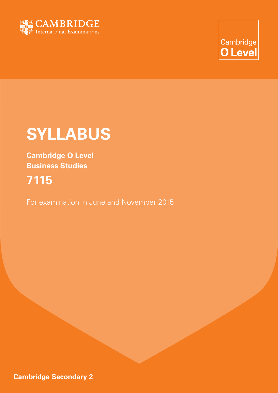

Cambridge **O** Level

# **SYLLABUS**

**Cambridge O Level Business Studies**

# **7115**

For examination in June and November 2015

**Cambridge Secondary 2**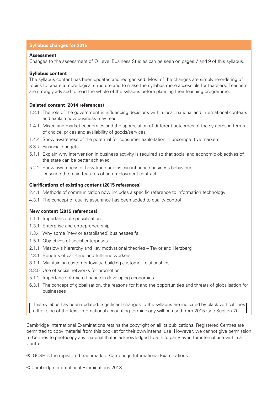#### **Syllabus changes for 2015**

#### **Assessment**

Changes to the assessment of O Level Business Studies can be seen on pages 7 and 9 of this syllabus.

#### **Syllabus content**

The syllabus content has been updated and reorganised. Most of the changes are simply re-ordering of topics to create a more logical structure and to make the syllabus more accessible for teachers. Teachers are strongly advised to read the whole of the syllabus before planning their teaching programme.

#### **Deleted content (2014 references)**

- 1.3.1 The role of the government in influencing decisions within local, national and international contexts and explain how business may react
- 1.4.1 Mixed and market economies and the appreciation of different outcomes of the systems in terms of choice, prices and availability of goods/services
- 1.4.4 Show awareness of the potential for consumer exploitation in uncompetitive markets
- 3.3.7 Financial budgets
- 5.1.1 Explain why intervention in business activity is required so that social and economic objectives of the state can be better achieved
- 5.2.2 Show awareness of how trade unions can influence business behaviour. Describe the main features of an employment contract

#### **Clarifications of existing content (2015 references)**

- 2.4.1 Methods of communication now includes a specific reference to information technology
- 4.3.1 The concept of quality assurance has been added to quality control

#### **New content (2015 references)**

- 1.1.1 Importance of specialisation
- 1.3.1 Enterprise and entrepreneurship
- 1.3.4 Why some (new or established) businesses fail
- 1.5.1 Objectives of social enterprises
- 2.1.1 Maslow's hierarchy and key motivational theories Taylor and Herzberg
- 2.3.1 Benefits of part-time and full-time workers
- 3.1.1 Maintaining customer loyalty; building customer relationships
- 3.3.5 Use of social networks for promotion
- 5.1.2 Importance of micro-finance in developing economies
- 6.3.1 The concept of globalisation, the reasons for it and the opportunities and threats of globalisation for businesses

This syllabus has been updated. Significant changes to the syllabus are indicated by black vertical lines either side of the text. International accounting terminology will be used from 2015 (see Section 7).

Cambridge International Examinations retains the copyright on all its publications. Registered Centres are permitted to copy material from this booklet for their own internal use. However, we cannot give permission to Centres to photocopy any material that is acknowledged to a third party even for internal use within a Centre.

® IGCSE is the registered trademark of Cambridge International Examinations

© Cambridge International Examinations 2013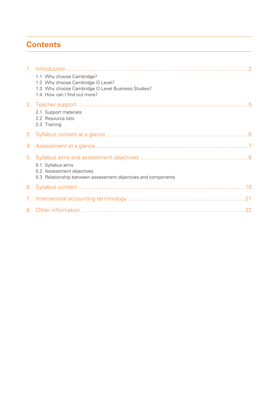# **Contents**

| 1.1 Why choose Cambridge?<br>1.2 Why choose Cambridge O Level?<br>1.3 Why choose Cambridge O Level Business Studies?<br>1.4 How can I find out more? |
|------------------------------------------------------------------------------------------------------------------------------------------------------|
| 2.1 Support materials<br>2.2 Resource lists                                                                                                          |
| 2.3 Training                                                                                                                                         |
|                                                                                                                                                      |
| 5.1 Syllabus aims<br>5.2 Assessment objectives<br>5.3 Relationship between assessment objectives and components                                      |
|                                                                                                                                                      |
|                                                                                                                                                      |
|                                                                                                                                                      |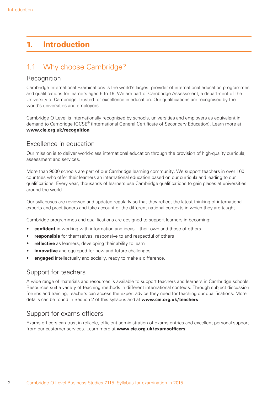## **1. Introduction**

## 1.1 Why choose Cambridge?

#### Recognition

Cambridge International Examinations is the world's largest provider of international education programmes and qualifications for learners aged 5 to 19. We are part of Cambridge Assessment, a department of the University of Cambridge, trusted for excellence in education. Our qualifications are recognised by the world's universities and employers.

Cambridge O Level is internationally recognised by schools, universities and employers as equivalent in demand to Cambridge IGCSE® (International General Certificate of Secondary Education). Learn more at **www.cie.org.uk/recognition**

#### Excellence in education

Our mission is to deliver world-class international education through the provision of high-quality curricula, assessment and services.

More than 9000 schools are part of our Cambridge learning community. We support teachers in over 160 countries who offer their learners an international education based on our curricula and leading to our qualifications. Every year, thousands of learners use Cambridge qualifications to gain places at universities around the world.

Our syllabuses are reviewed and updated regularly so that they reflect the latest thinking of international experts and practitioners and take account of the different national contexts in which they are taught.

Cambridge programmes and qualifications are designed to support learners in becoming:

- **confident** in working with information and ideas their own and those of others
- **responsible** for themselves, responsive to and respectful of others
- **reflective** as learners, developing their ability to learn
- **innovative** and equipped for new and future challenges
- **engaged** intellectually and socially, ready to make a difference.

#### Support for teachers

A wide range of materials and resources is available to support teachers and learners in Cambridge schools. Resources suit a variety of teaching methods in different international contexts. Through subject discussion forums and training, teachers can access the expert advice they need for teaching our qualifications. More details can be found in Section 2 of this syllabus and at **www.cie.org.uk/teachers**

#### Support for exams officers

Exams officers can trust in reliable, efficient administration of exams entries and excellent personal support from our customer services. Learn more at **www.cie.org.uk/examsofficers**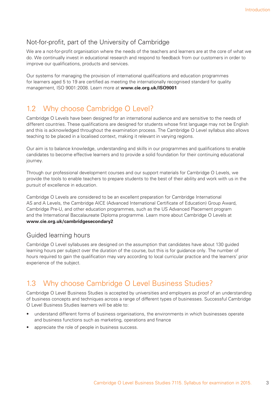## Not-for-profit, part of the University of Cambridge

We are a not-for-profit organisation where the needs of the teachers and learners are at the core of what we do. We continually invest in educational research and respond to feedback from our customers in order to improve our qualifications, products and services.

Our systems for managing the provision of international qualifications and education programmes for learners aged 5 to 19 are certified as meeting the internationally recognised standard for quality management, ISO 9001:2008. Learn more at **www.cie.org.uk/ISO9001**

## 1.2 Why choose Cambridge O Level?

Cambridge O Levels have been designed for an international audience and are sensitive to the needs of different countries. These qualifications are designed for students whose first language may not be English and this is acknowledged throughout the examination process. The Cambridge O Level syllabus also allows teaching to be placed in a localised context, making it relevant in varying regions.

Our aim is to balance knowledge, understanding and skills in our programmes and qualifications to enable candidates to become effective learners and to provide a solid foundation for their continuing educational journey.

Through our professional development courses and our support materials for Cambridge O Levels, we provide the tools to enable teachers to prepare students to the best of their ability and work with us in the pursuit of excellence in education.

Cambridge O Levels are considered to be an excellent preparation for Cambridge International AS and A Levels, the Cambridge AICE (Advanced International Certificate of Education) Group Award, Cambridge Pre-U, and other education programmes, such as the US Advanced Placement program and the International Baccalaureate Diploma programme. Learn more about Cambridge O Levels at **www.cie.org.uk/cambridgesecondary2**

#### Guided learning hours

Cambridge O Level syllabuses are designed on the assumption that candidates have about 130 guided learning hours per subject over the duration of the course, but this is for guidance only. The number of hours required to gain the qualification may vary according to local curricular practice and the learners' prior experience of the subject.

## 1.3 Why choose Cambridge O Level Business Studies?

Cambridge O Level Business Studies is accepted by universities and employers as proof of an understanding of business concepts and techniques across a range of different types of businesses. Successful Cambridge O Level Business Studies learners will be able to:

- understand different forms of business organisations, the environments in which businesses operate and business functions such as marketing, operations and finance
- appreciate the role of people in business success.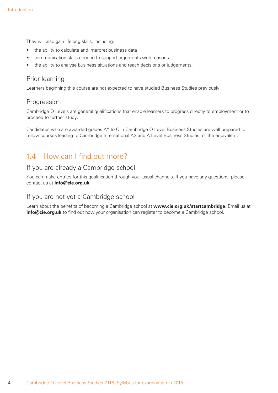They will also gain lifelong skills, including:

- the ability to calculate and interpret business data
- communication skills needed to support arguments with reasons
- the ability to analyse business situations and reach decisions or judgements.

#### Prior learning

Learners beginning this course are not expected to have studied Business Studies previously.

#### Progression

Cambridge O Levels are general qualifications that enable learners to progress directly to employment or to proceed to further study.

Candidates who are awarded grades A\* to C in Cambridge O Level Business Studies are well prepared to follow courses leading to Cambridge International AS and A Level Business Studies, or the equivalent.

## 1.4 How can I find out more?

#### If you are already a Cambridge school

You can make entries for this qualification through your usual channels. If you have any questions, please contact us at **info@cie.org.uk**

#### If you are not yet a Cambridge school

Learn about the benefits of becoming a Cambridge school at **www.cie.org.uk/startcambridge**. Email us at **info@cie.org.uk** to find out how your organisation can register to become a Cambridge school.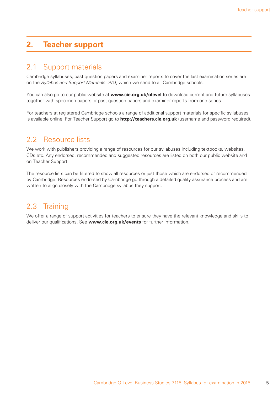## **2. Teacher support**

#### 2.1 Support materials

Cambridge syllabuses, past question papers and examiner reports to cover the last examination series are on the *Syllabus and Support Materials* DVD, which we send to all Cambridge schools.

You can also go to our public website at **www.cie.org.uk/olevel** to download current and future syllabuses together with specimen papers or past question papers and examiner reports from one series.

For teachers at registered Cambridge schools a range of additional support materials for specific syllabuses is available online. For Teacher Support go to **http://teachers.cie.org.uk** (username and password required).

## 2.2 Resource lists

We work with publishers providing a range of resources for our syllabuses including textbooks, websites, CDs etc. Any endorsed, recommended and suggested resources are listed on both our public website and on Teacher Support.

The resource lists can be filtered to show all resources or just those which are endorsed or recommended by Cambridge. Resources endorsed by Cambridge go through a detailed quality assurance process and are written to align closely with the Cambridge syllabus they support.

## 2.3 Training

We offer a range of support activities for teachers to ensure they have the relevant knowledge and skills to deliver our qualifications. See **www.cie.org.uk/events** for further information.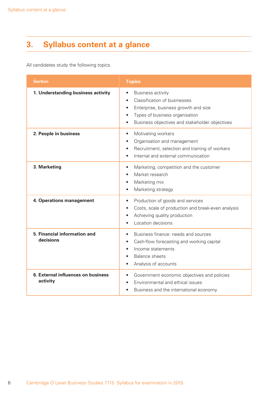# **3. Syllabus content at a glance**

All candidates study the following topics.

| <b>Section</b>                                 | <b>Topics</b>                                                                                                                                                                                                                         |
|------------------------------------------------|---------------------------------------------------------------------------------------------------------------------------------------------------------------------------------------------------------------------------------------|
| 1. Understanding business activity             | <b>Business activity</b><br>٠<br>Classification of businesses<br>$\bullet$<br>Enterprise, business growth and size<br>٠<br>Types of business organisation<br>$\bullet$<br>Business objectives and stakeholder objectives<br>$\bullet$ |
| 2. People in business                          | Motivating workers<br>$\bullet$<br>Organisation and management<br>$\bullet$<br>Recruitment, selection and training of workers<br>$\bullet$<br>Internal and external communication<br>$\bullet$                                        |
| 3. Marketing                                   | Marketing, competition and the customer<br>$\bullet$<br>Market research<br>$\bullet$<br>Marketing mix<br>$\bullet$<br>Marketing strategy<br>$\bullet$                                                                                 |
| 4. Operations management                       | Production of goods and services<br>$\bullet$<br>Costs, scale of production and break-even analysis<br>$\bullet$<br>Achieving quality production<br>٠<br>Location decisions                                                           |
| 5. Financial information and<br>decisions      | Business finance: needs and sources<br>$\bullet$<br>Cash-flow forecasting and working capital<br>$\bullet$<br>Income statements<br>٠<br><b>Balance sheets</b><br>Analysis of accounts<br>$\bullet$                                    |
| 6. External influences on business<br>activity | Government economic objectives and policies<br>٠<br>Environmental and ethical issues<br>$\bullet$<br>Business and the international economy<br>$\bullet$                                                                              |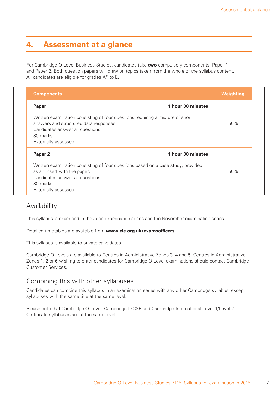## **4. Assessment at a glance**

For Cambridge O Level Business Studies, candidates take **two** compulsory components, Paper 1 and Paper 2. Both question papers will draw on topics taken from the whole of the syllabus content. All candidates are eligible for grades A\* to E.

| <b>Components</b>                                                                                                                                                                                | Weighting |
|--------------------------------------------------------------------------------------------------------------------------------------------------------------------------------------------------|-----------|
| 1 hour 30 minutes<br>Paper 1                                                                                                                                                                     |           |
| Written examination consisting of four questions requiring a mixture of short<br>answers and structured data responses.<br>Candidates answer all questions.<br>80 marks.<br>Externally assessed. | 50%       |
| 1 hour 30 minutes<br>Paper <sub>2</sub>                                                                                                                                                          |           |
| Written examination consisting of four questions based on a case study, provided<br>as an Insert with the paper.<br>Candidates answer all questions.<br>80 marks.<br>Externally assessed.        | 50%       |

#### Availability

This syllabus is examined in the June examination series and the November examination series.

Detailed timetables are available from **www.cie.org.uk/examsofficers**

This syllabus is available to private candidates.

Cambridge O Levels are available to Centres in Administrative Zones 3, 4 and 5. Centres in Administrative Zones 1, 2 or 6 wishing to enter candidates for Cambridge O Level examinations should contact Cambridge Customer Services.

#### Combining this with other syllabuses

Candidates can combine this syllabus in an examination series with any other Cambridge syllabus, except syllabuses with the same title at the same level.

Please note that Cambridge O Level, Cambridge IGCSE and Cambridge International Level 1/Level 2 Certificate syllabuses are at the same level.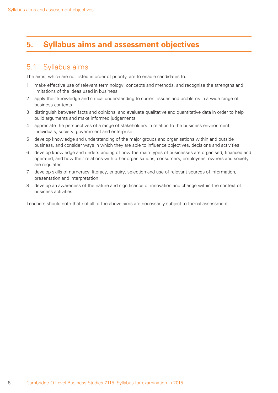## **5. Syllabus aims and assessment objectives**

## 5.1 Syllabus aims

The aims, which are not listed in order of priority, are to enable candidates to:

- 1 make effective use of relevant terminology, concepts and methods, and recognise the strengths and limitations of the ideas used in business
- 2 apply their knowledge and critical understanding to current issues and problems in a wide range of business contexts
- 3 distinguish between facts and opinions, and evaluate qualitative and quantitative data in order to help build arguments and make informed judgements
- 4 appreciate the perspectives of a range of stakeholders in relation to the business environment, individuals, society, government and enterprise
- 5 develop knowledge and understanding of the major groups and organisations within and outside business, and consider ways in which they are able to influence objectives, decisions and activities
- 6 develop knowledge and understanding of how the main types of businesses are organised, financed and operated, and how their relations with other organisations, consumers, employees, owners and society are regulated
- 7 develop skills of numeracy, literacy, enquiry, selection and use of relevant sources of information, presentation and interpretation
- 8 develop an awareness of the nature and significance of innovation and change within the context of business activities.

Teachers should note that not all of the above aims are necessarily subject to formal assessment.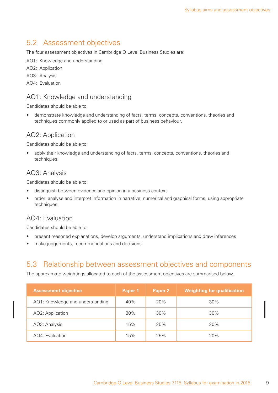## 5.2 Assessment objectives

The four assessment objectives in Cambridge O Level Business Studies are:

AO1: Knowledge and understanding

AO2: Application

AO3: Analysis

AO4: Evaluation

#### AO1: Knowledge and understanding

Candidates should be able to:

• demonstrate knowledge and understanding of facts, terms, concepts, conventions, theories and techniques commonly applied to or used as part of business behaviour.

#### AO2: Application

Candidates should be able to:

apply their knowledge and understanding of facts, terms, concepts, conventions, theories and techniques.

#### AO3: Analysis

Candidates should be able to:

- distinguish between evidence and opinion in a business context
- order, analyse and interpret information in narrative, numerical and graphical forms, using appropriate techniques.

#### AO4: Evaluation

Candidates should be able to:

- present reasoned explanations, develop arguments, understand implications and draw inferences
- make judgements, recommendations and decisions.

## 5.3 Relationship between assessment objectives and components

The approximate weightings allocated to each of the assessment objectives are summarised below.

| <b>Assessment objective</b>      | Paper 1 | Paper 2 | <b>Weighting for qualification</b> |
|----------------------------------|---------|---------|------------------------------------|
| AO1: Knowledge and understanding | 40%     | 20%     | 30%                                |
| AO2: Application                 | 30%     | 30%     | 30%                                |
| AO3: Analysis                    | 15%     | 25%     | 20%                                |
| AO4: Evaluation                  | 15%     | 25%     | 20%                                |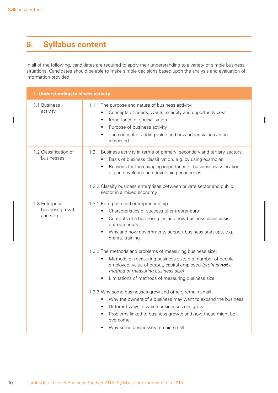$\overline{\phantom{a}}$ 

# **6. Syllabus content**

In all of the following, candidates are required to apply their understanding to a variety of simple business situations. Candidates should be able to make simple decisions based upon the analysis and evaluation of information provided.

I

| 1. Understanding business activity             |                                                                                                                                                                                                                                                                                                                                                                                                                                                                                                                                                                                                                                                                                                                                                                                                                                                                         |  |
|------------------------------------------------|-------------------------------------------------------------------------------------------------------------------------------------------------------------------------------------------------------------------------------------------------------------------------------------------------------------------------------------------------------------------------------------------------------------------------------------------------------------------------------------------------------------------------------------------------------------------------------------------------------------------------------------------------------------------------------------------------------------------------------------------------------------------------------------------------------------------------------------------------------------------------|--|
| 1.1 Business<br>activity                       | 1.1.1 The purpose and nature of business activity:<br>Concepts of needs, wants, scarcity and opportunity cost<br>٠<br>Importance of specialisation<br>$\bullet$<br>Purpose of business activity<br>$\bullet$<br>The concept of adding value and how added value can be<br>increased                                                                                                                                                                                                                                                                                                                                                                                                                                                                                                                                                                                     |  |
| 1.2 Classification of<br>businesses            | 1.2.1 Business activity in terms of primary, secondary and tertiary sectors:<br>Basis of business classification, e.g. by using examples<br>Reasons for the changing importance of business classification,<br>$\bullet$<br>e.g. in developed and developing economies<br>1.2.2 Classify business enterprises between private sector and public<br>sector in a mixed economy                                                                                                                                                                                                                                                                                                                                                                                                                                                                                            |  |
| 1.3 Enterprise,<br>business growth<br>and size | 1.3.1 Enterprise and entrepreneurship:<br>Characteristics of successful entrepreneurs<br>Contents of a business plan and how business plans assist<br>$\bullet$<br>entrepreneurs<br>Why and how governments support business start-ups, e.g.<br>grants, training<br>1.3.2 The methods and problems of measuring business size:<br>Methods of measuring business size, e.g. number of people<br>$\bullet$<br>employed, value of output, capital employed (profit is not a<br>method of measuring business size)<br>Limitations of methods of measuring business size<br>$\bullet$<br>1.3.3 Why some businesses grow and others remain small:<br>Why the owners of a business may want to expand the business<br>Different ways in which businesses can grow<br>Problems linked to business growth and how these might be<br>overcome<br>Why some businesses remain small |  |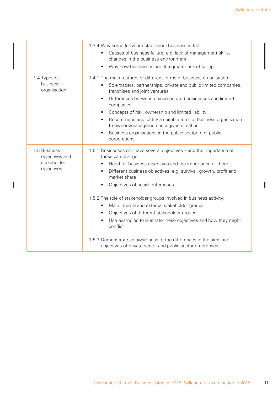I

|                                                             | 1.3.4 Why some (new or established) businesses fail:<br>Causes of business failure, e.g. lack of management skills,<br>changes in the business environment<br>Why new businesses are at a greater risk of failing                                                                                                                                                                                                                                                                                                                                                                                                                                                                |
|-------------------------------------------------------------|----------------------------------------------------------------------------------------------------------------------------------------------------------------------------------------------------------------------------------------------------------------------------------------------------------------------------------------------------------------------------------------------------------------------------------------------------------------------------------------------------------------------------------------------------------------------------------------------------------------------------------------------------------------------------------|
| 1.4 Types of<br>business<br>organisation                    | 1.4.1 The main features of different forms of business organisation:<br>Sole traders, partnerships, private and public limited companies,<br>franchises and joint ventures<br>Differences between unincorporated businesses and limited<br>$\bullet$<br>companies<br>Concepts of risk, ownership and limited liability<br>Recommend and justify a suitable form of business organisation<br>to owners/management in a given situation<br>Business organisations in the public sector, e.g. public<br>corporations                                                                                                                                                                |
| 1.5 Business<br>objectives and<br>stakeholder<br>objectives | 1.5.1 Businesses can have several objectives – and the importance of<br>these can change:<br>Need for business objectives and the importance of them<br>Different business objectives, e.g. survival, growth, profit and<br>market share<br>Objectives of social enterprises<br>1.5.2 The role of stakeholder groups involved in business activity:<br>Main internal and external stakeholder groups<br>$\bullet$<br>Objectives of different stakeholder groups<br>Use examples to illustrate these objectives and how they might<br>conflict<br>1.5.3 Demonstrate an awareness of the differences in the aims and<br>objectives of private sector and public sector enterprises |

 $\begin{array}{c} \rule{0pt}{2.5ex} \rule{0pt}{2.5ex} \rule{0pt}{2.5ex} \rule{0pt}{2.5ex} \rule{0pt}{2.5ex} \rule{0pt}{2.5ex} \rule{0pt}{2.5ex} \rule{0pt}{2.5ex} \rule{0pt}{2.5ex} \rule{0pt}{2.5ex} \rule{0pt}{2.5ex} \rule{0pt}{2.5ex} \rule{0pt}{2.5ex} \rule{0pt}{2.5ex} \rule{0pt}{2.5ex} \rule{0pt}{2.5ex} \rule{0pt}{2.5ex} \rule{0pt}{2.5ex} \rule{0pt}{2.5ex} \rule{0$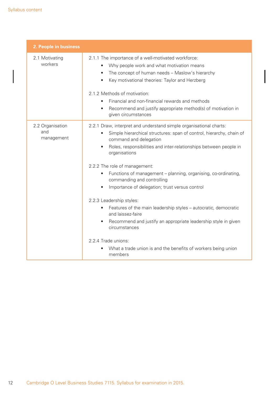| 2. People in business                 |                                                                                                                                                                                                                                                                                                                                                                                                                                                                                                                                                                                                                                                                                                                                                                                                                                                    |
|---------------------------------------|----------------------------------------------------------------------------------------------------------------------------------------------------------------------------------------------------------------------------------------------------------------------------------------------------------------------------------------------------------------------------------------------------------------------------------------------------------------------------------------------------------------------------------------------------------------------------------------------------------------------------------------------------------------------------------------------------------------------------------------------------------------------------------------------------------------------------------------------------|
| 2.1 Motivating<br>workers             | 2.1.1 The importance of a well-motivated workforce:<br>Why people work and what motivation means<br>$\bullet$<br>The concept of human needs - Maslow's hierarchy<br>$\bullet$<br>Key motivational theories: Taylor and Herzberg<br>$\bullet$<br>2.1.2 Methods of motivation:<br>Financial and non-financial rewards and methods<br>$\bullet$<br>Recommend and justify appropriate method(s) of motivation in<br>$\bullet$<br>given circumstances                                                                                                                                                                                                                                                                                                                                                                                                   |
| 2.2 Organisation<br>and<br>management | 2.2.1 Draw, interpret and understand simple organisational charts:<br>Simple hierarchical structures: span of control, hierarchy, chain of<br>$\bullet$<br>command and delegation<br>Roles, responsibilities and inter-relationships between people in<br>$\bullet$<br>organisations<br>2.2.2 The role of management:<br>Functions of management – planning, organising, co-ordinating,<br>$\bullet$<br>commanding and controlling<br>Importance of delegation; trust versus control<br>$\bullet$<br>2.2.3 Leadership styles:<br>Features of the main leadership styles - autocratic, democratic<br>$\bullet$<br>and laissez-faire<br>Recommend and justify an appropriate leadership style in given<br>$\bullet$<br>circumstances<br>2.2.4 Trade unions:<br>What a trade union is and the benefits of workers being union<br>$\bullet$<br>members |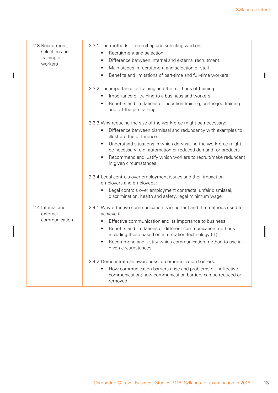Ī

| 2.3 Recruitment,<br>selection and<br>training of<br>workers | 2.3.1 The methods of recruiting and selecting workers:<br>Recruitment and selection<br>Difference between internal and external recruitment<br>$\bullet$<br>Main stages in recruitment and selection of staff<br>$\bullet$<br>Benefits and limitations of part-time and full-time workers<br>$\bullet$<br>2.3.2 The importance of training and the methods of training:<br>Importance of training to a business and workers<br>Benefits and limitations of induction training, on-the-job training<br>$\bullet$<br>and off-the-job training |
|-------------------------------------------------------------|---------------------------------------------------------------------------------------------------------------------------------------------------------------------------------------------------------------------------------------------------------------------------------------------------------------------------------------------------------------------------------------------------------------------------------------------------------------------------------------------------------------------------------------------|
|                                                             | 2.3.3 Why reducing the size of the workforce might be necessary:                                                                                                                                                                                                                                                                                                                                                                                                                                                                            |
|                                                             | Difference between dismissal and redundancy with examples to<br>$\bullet$<br>illustrate the difference                                                                                                                                                                                                                                                                                                                                                                                                                                      |
|                                                             | Understand situations in which downsizing the workforce might<br>$\bullet$<br>be necessary, e.g. automation or reduced demand for products                                                                                                                                                                                                                                                                                                                                                                                                  |
|                                                             | Recommend and justify which workers to recruit/make redundant<br>$\bullet$<br>in given circumstances                                                                                                                                                                                                                                                                                                                                                                                                                                        |
|                                                             | 2.3.4 Legal controls over employment issues and their impact on<br>employers and employees:                                                                                                                                                                                                                                                                                                                                                                                                                                                 |
|                                                             | Legal controls over employment contracts, unfair dismissal,<br>discrimination, health and safety, legal minimum wage                                                                                                                                                                                                                                                                                                                                                                                                                        |
| 2.4 Internal and<br>external                                | 2.4.1 Why effective communication is important and the methods used to<br>achieve it:                                                                                                                                                                                                                                                                                                                                                                                                                                                       |
| communication                                               | Effective communication and its importance to business<br>$\bullet$                                                                                                                                                                                                                                                                                                                                                                                                                                                                         |
|                                                             | Benefits and limitations of different communication methods<br>$\bullet$<br>including those based on information technology (IT)                                                                                                                                                                                                                                                                                                                                                                                                            |
|                                                             | Recommend and justify which communication method to use in<br>given circumstances                                                                                                                                                                                                                                                                                                                                                                                                                                                           |
|                                                             | 2.4.2 Demonstrate an awareness of communication barriers:                                                                                                                                                                                                                                                                                                                                                                                                                                                                                   |
|                                                             | How communication barriers arise and problems of ineffective<br>communication; how communication barriers can be reduced or<br>removed                                                                                                                                                                                                                                                                                                                                                                                                      |

 $\begin{array}{c} \rule{0pt}{2.5ex} \rule{0pt}{2.5ex} \rule{0pt}{2.5ex} \rule{0pt}{2.5ex} \rule{0pt}{2.5ex} \rule{0pt}{2.5ex} \rule{0pt}{2.5ex} \rule{0pt}{2.5ex} \rule{0pt}{2.5ex} \rule{0pt}{2.5ex} \rule{0pt}{2.5ex} \rule{0pt}{2.5ex} \rule{0pt}{2.5ex} \rule{0pt}{2.5ex} \rule{0pt}{2.5ex} \rule{0pt}{2.5ex} \rule{0pt}{2.5ex} \rule{0pt}{2.5ex} \rule{0pt}{2.5ex} \rule{0$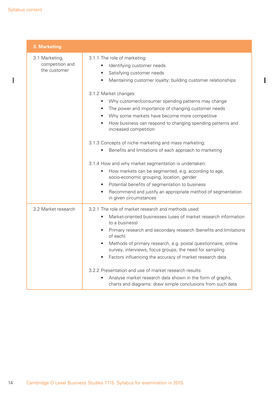$\begin{array}{c} \hline \end{array}$ 

| 3. Marketing                                      |                                                                                                                                                                                                                                                                                                                                                                                                                                                                                                                                                                                                                                          |
|---------------------------------------------------|------------------------------------------------------------------------------------------------------------------------------------------------------------------------------------------------------------------------------------------------------------------------------------------------------------------------------------------------------------------------------------------------------------------------------------------------------------------------------------------------------------------------------------------------------------------------------------------------------------------------------------------|
| 3.1 Marketing,<br>competition and<br>the customer | 3.1.1 The role of marketing:<br>Identifying customer needs<br>$\bullet$<br>Satisfying customer needs<br>$\bullet$<br>Maintaining customer loyalty; building customer relationships<br>$\bullet$                                                                                                                                                                                                                                                                                                                                                                                                                                          |
|                                                   | 3.1.2 Market changes:<br>Why customer/consumer spending patterns may change<br>$\bullet$<br>The power and importance of changing customer needs<br>$\bullet$<br>Why some markets have become more competitive<br>$\bullet$<br>How business can respond to changing spending patterns and<br>$\bullet$<br>increased competition<br>3.1.3 Concepts of niche marketing and mass marketing:<br>Benefits and limitations of each approach to marketing<br>$\bullet$<br>3.1.4 How and why market segmentation is undertaken:<br>How markets can be segmented, e.g. according to age,<br>$\bullet$<br>socio-economic grouping, location, gender |
|                                                   | Potential benefits of segmentation to business<br>$\bullet$<br>Recommend and justify an appropriate method of segmentation<br>$\bullet$<br>in given circumstances                                                                                                                                                                                                                                                                                                                                                                                                                                                                        |
| 3.2 Market research                               | 3.2.1 The role of market research and methods used:<br>Market-oriented businesses (uses of market research information<br>$\bullet$<br>to a business)<br>Primary research and secondary research (benefits and limitations<br>$\bullet$<br>of each)<br>Methods of primary research, e.g. postal questionnaire, online<br>survey, interviews, focus groups; the need for sampling<br>Factors influencing the accuracy of market research data<br>3.2.2 Presentation and use of market research results:<br>Analyse market research data shown in the form of graphs,<br>charts and diagrams: draw simple conclusions from such data       |

I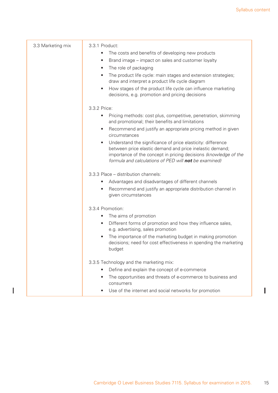I

| 3.3 Marketing mix | 3.3.1 Product:                                                                                                                                                                                                                                                    |
|-------------------|-------------------------------------------------------------------------------------------------------------------------------------------------------------------------------------------------------------------------------------------------------------------|
|                   | The costs and benefits of developing new products<br>$\bullet$                                                                                                                                                                                                    |
|                   | Brand image – impact on sales and customer loyalty<br>$\bullet$                                                                                                                                                                                                   |
|                   | The role of packaging<br>$\bullet$                                                                                                                                                                                                                                |
|                   | The product life cycle: main stages and extension strategies;<br>$\bullet$<br>draw and interpret a product life cycle diagram                                                                                                                                     |
|                   | How stages of the product life cycle can influence marketing<br>$\bullet$<br>decisions, e.g. promotion and pricing decisions                                                                                                                                      |
|                   | 3.3.2 Price:                                                                                                                                                                                                                                                      |
|                   | Pricing methods: cost plus, competitive, penetration, skimming<br>$\bullet$<br>and promotional; their benefits and limitations                                                                                                                                    |
|                   | Recommend and justify an appropriate pricing method in given<br>$\bullet$<br>circumstances                                                                                                                                                                        |
|                   | Understand the significance of price elasticity: difference<br>$\bullet$<br>between price elastic demand and price inelastic demand;<br>importance of the concept in pricing decisions (knowledge of the<br>formula and calculations of PED will not be examined) |
|                   | 3.3.3 Place – distribution channels:                                                                                                                                                                                                                              |
|                   | Advantages and disadvantages of different channels<br>$\bullet$                                                                                                                                                                                                   |
|                   | Recommend and justify an appropriate distribution channel in<br>$\bullet$<br>given circumstances                                                                                                                                                                  |
|                   | 3.3.4 Promotion:                                                                                                                                                                                                                                                  |
|                   | The aims of promotion<br>$\bullet$                                                                                                                                                                                                                                |
|                   | Different forms of promotion and how they influence sales,<br>$\bullet$<br>e.g. advertising, sales promotion                                                                                                                                                      |
|                   | The importance of the marketing budget in making promotion<br>$\bullet$<br>decisions; need for cost effectiveness in spending the marketing<br>budget                                                                                                             |
|                   | 3.3.5 Technology and the marketing mix:                                                                                                                                                                                                                           |
|                   | Define and explain the concept of e-commerce                                                                                                                                                                                                                      |
|                   | The opportunities and threats of e-commerce to business and<br>$\bullet$<br>consumers                                                                                                                                                                             |
|                   | Use of the internet and social networks for promotion                                                                                                                                                                                                             |

 $\mathbf{I}$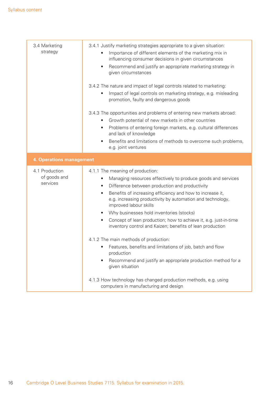| 3.4 Marketing<br>strategy                  | 3.4.1 Justify marketing strategies appropriate to a given situation:<br>Importance of different elements of the marketing mix in<br>influencing consumer decisions in given circumstances<br>Recommend and justify an appropriate marketing strategy in<br>given circumstances<br>3.4.2 The nature and impact of legal controls related to marketing:<br>Impact of legal controls on marketing strategy, e.g. misleading<br>promotion, faulty and dangerous goods<br>3.4.3 The opportunities and problems of entering new markets abroad:<br>Growth potential of new markets in other countries<br>٠<br>Problems of entering foreign markets, e.g. cultural differences<br>and lack of knowledge<br>Benefits and limitations of methods to overcome such problems,<br>$\bullet$<br>e.g. joint ventures                                                      |  |  |
|--------------------------------------------|-------------------------------------------------------------------------------------------------------------------------------------------------------------------------------------------------------------------------------------------------------------------------------------------------------------------------------------------------------------------------------------------------------------------------------------------------------------------------------------------------------------------------------------------------------------------------------------------------------------------------------------------------------------------------------------------------------------------------------------------------------------------------------------------------------------------------------------------------------------|--|--|
| <b>4. Operations management</b>            |                                                                                                                                                                                                                                                                                                                                                                                                                                                                                                                                                                                                                                                                                                                                                                                                                                                             |  |  |
| 4.1 Production<br>of goods and<br>services | 4.1.1 The meaning of production:<br>Managing resources effectively to produce goods and services<br>Difference between production and productivity<br>$\bullet$<br>Benefits of increasing efficiency and how to increase it,<br>$\bullet$<br>e.g. increasing productivity by automation and technology,<br>improved labour skills<br>Why businesses hold inventories (stocks)<br>Concept of lean production; how to achieve it, e.g. just-in-time<br>$\bullet$<br>inventory control and Kaizen; benefits of lean production<br>4.1.2 The main methods of production:<br>Features, benefits and limitations of job, batch and flow<br>$\bullet$<br>production<br>Recommend and justify an appropriate production method for a<br>given situation<br>4.1.3 How technology has changed production methods, e.g. using<br>computers in manufacturing and design |  |  |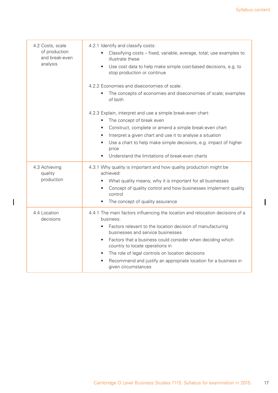$\begin{array}{c} \rule{0pt}{2.5ex} \rule{0pt}{2.5ex} \rule{0pt}{2.5ex} \rule{0pt}{2.5ex} \rule{0pt}{2.5ex} \rule{0pt}{2.5ex} \rule{0pt}{2.5ex} \rule{0pt}{2.5ex} \rule{0pt}{2.5ex} \rule{0pt}{2.5ex} \rule{0pt}{2.5ex} \rule{0pt}{2.5ex} \rule{0pt}{2.5ex} \rule{0pt}{2.5ex} \rule{0pt}{2.5ex} \rule{0pt}{2.5ex} \rule{0pt}{2.5ex} \rule{0pt}{2.5ex} \rule{0pt}{2.5ex} \rule{0$ 

| 4.2 Costs, scale<br>of production<br>and break-even<br>analysis | 4.2.1 Identify and classify costs:<br>Classifying costs – fixed, variable, average, total; use examples to<br>illustrate these<br>Use cost data to help make simple cost-based decisions, e.g. to<br>$\bullet$<br>stop production or continue                                                                                                                                                                                                                               |
|-----------------------------------------------------------------|-----------------------------------------------------------------------------------------------------------------------------------------------------------------------------------------------------------------------------------------------------------------------------------------------------------------------------------------------------------------------------------------------------------------------------------------------------------------------------|
|                                                                 | 4.2.2 Economies and diseconomies of scale:<br>The concepts of economies and diseconomies of scale; examples<br>of both                                                                                                                                                                                                                                                                                                                                                      |
|                                                                 | 4.2.3 Explain, interpret and use a simple break-even chart:<br>The concept of break even<br>$\bullet$<br>Construct, complete or amend a simple break-even chart<br>٠<br>Interpret a given chart and use it to analyse a situation<br>$\bullet$<br>Use a chart to help make simple decisions, e.g. impact of higher<br>price<br>Understand the limitations of break-even charts<br>$\bullet$                                                                                 |
| 4.3 Achieving<br>quality<br>production                          | 4.3.1 Why quality is important and how quality production might be<br>achieved:<br>What quality means; why it is important for all businesses<br>$\bullet$<br>Concept of quality control and how businesses implement quality<br>$\bullet$<br>control<br>The concept of quality assurance<br>$\bullet$                                                                                                                                                                      |
| 4.4 Location<br>decisions                                       | 4.4.1 The main factors influencing the location and relocation decisions of a<br>business:<br>Factors relevant to the location decision of manufacturing<br>businesses and service businesses<br>Factors that a business could consider when deciding which<br>$\bullet$<br>country to locate operations in<br>The role of legal controls on location decisions<br>$\bullet$<br>Recommend and justify an appropriate location for a business in<br>٠<br>given circumstances |

 $\overline{1}$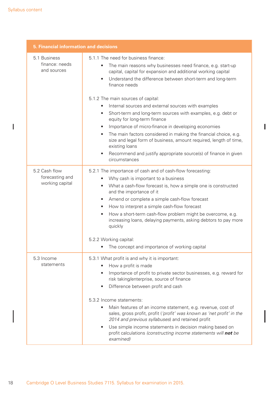$\begin{array}{c} \hline \end{array}$ 

| <b>5. Financial information and decisions</b>       |                                                                                                                                                                                                                                                                                                                                                                                                                                                                                                                                                                                                      |  |
|-----------------------------------------------------|------------------------------------------------------------------------------------------------------------------------------------------------------------------------------------------------------------------------------------------------------------------------------------------------------------------------------------------------------------------------------------------------------------------------------------------------------------------------------------------------------------------------------------------------------------------------------------------------------|--|
| 5.1 Business<br>finance: needs<br>and sources       | 5.1.1 The need for business finance:<br>The main reasons why businesses need finance, e.g. start-up<br>capital, capital for expansion and additional working capital<br>Understand the difference between short-term and long-term<br>finance needs                                                                                                                                                                                                                                                                                                                                                  |  |
|                                                     | 5.1.2 The main sources of capital:<br>Internal sources and external sources with examples<br>Short-term and long-term sources with examples, e.g. debt or<br>$\bullet$<br>equity for long-term finance<br>Importance of micro-finance in developing economies<br>The main factors considered in making the financial choice, e.g.<br>$\bullet$<br>size and legal form of business, amount required, length of time,<br>existing loans<br>Recommend and justify appropriate source(s) of finance in given<br>$\bullet$<br>circumstances                                                               |  |
| 5.2 Cash flow<br>forecasting and<br>working capital | 5.2.1 The importance of cash and of cash-flow forecasting:<br>Why cash is important to a business<br>What a cash-flow forecast is, how a simple one is constructed<br>and the importance of it<br>Amend or complete a simple cash-flow forecast<br>$\bullet$<br>How to interpret a simple cash-flow forecast<br>$\bullet$<br>How a short-term cash-flow problem might be overcome, e.g.<br>$\bullet$<br>increasing loans, delaying payments, asking debtors to pay more<br>quickly<br>5.2.2 Working capital:<br>The concept and importance of working capital                                        |  |
| 5.3 Income<br>statements                            | 5.3.1 What profit is and why it is important:<br>How a profit is made<br>Importance of profit to private sector businesses, e.g. reward for<br>risk taking/enterprise, source of finance<br>Difference between profit and cash<br>5.3.2 Income statements:<br>Main features of an income statement, e.g. revenue, cost of<br>sales, gross profit, profit ('profit' was known as 'net profit' in the<br>2014 and previous syllabuses) and retained profit<br>Use simple income statements in decision making based on<br>profit calculations (constructing income statements will not be<br>examined) |  |

 $\overline{\mathbf{I}}$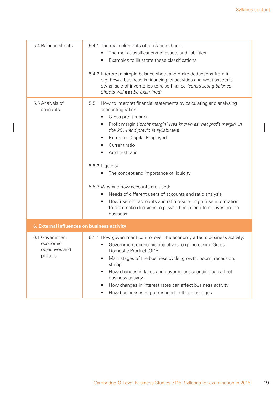| 5.4 Balance sheets                                       | 5.4.1 The main elements of a balance sheet:                                                                                                                                                                                                          |  |  |
|----------------------------------------------------------|------------------------------------------------------------------------------------------------------------------------------------------------------------------------------------------------------------------------------------------------------|--|--|
|                                                          | The main classifications of assets and liabilities                                                                                                                                                                                                   |  |  |
|                                                          | Examples to illustrate these classifications<br>٠                                                                                                                                                                                                    |  |  |
|                                                          | 5.4.2 Interpret a simple balance sheet and make deductions from it,<br>e.g. how a business is financing its activities and what assets it<br>owns, sale of inventories to raise finance (constructing balance<br>sheets will <b>not</b> be examined) |  |  |
| 5.5 Analysis of<br>accounts                              | 5.5.1 How to interpret financial statements by calculating and analysing<br>accounting ratios:                                                                                                                                                       |  |  |
|                                                          | Gross profit margin<br>$\bullet$                                                                                                                                                                                                                     |  |  |
|                                                          | Profit margin ('profit margin' was known as 'net profit margin' in<br>$\bullet$<br>the 2014 and previous syllabuses)                                                                                                                                 |  |  |
|                                                          | Return on Capital Employed<br>٠                                                                                                                                                                                                                      |  |  |
|                                                          | Current ratio                                                                                                                                                                                                                                        |  |  |
|                                                          | Acid test ratio                                                                                                                                                                                                                                      |  |  |
|                                                          |                                                                                                                                                                                                                                                      |  |  |
|                                                          | 5.5.2 Liquidity:                                                                                                                                                                                                                                     |  |  |
|                                                          | The concept and importance of liquidity                                                                                                                                                                                                              |  |  |
|                                                          | 5.5.3 Why and how accounts are used:                                                                                                                                                                                                                 |  |  |
|                                                          | Needs of different users of accounts and ratio analysis                                                                                                                                                                                              |  |  |
|                                                          | How users of accounts and ratio results might use information<br>to help make decisions, e.g. whether to lend to or invest in the<br>business                                                                                                        |  |  |
| 6. External influences on business activity              |                                                                                                                                                                                                                                                      |  |  |
| 6.1 Government<br>economic<br>objectives and<br>policies | 6.1.1 How government control over the economy affects business activity:                                                                                                                                                                             |  |  |
|                                                          | Government economic objectives, e.g. increasing Gross<br>Domestic Product (GDP)                                                                                                                                                                      |  |  |
|                                                          | Main stages of the business cycle; growth, boom, recession,<br>slump                                                                                                                                                                                 |  |  |
|                                                          | How changes in taxes and government spending can affect<br>business activity                                                                                                                                                                         |  |  |
|                                                          | How changes in interest rates can affect business activity                                                                                                                                                                                           |  |  |
|                                                          | How businesses might respond to these changes<br>٠                                                                                                                                                                                                   |  |  |

I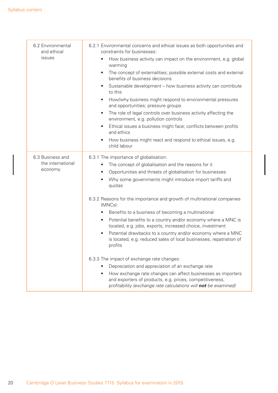| 6.2 Environmental<br>and ethical<br>issues       | 6.2.1 Environmental concerns and ethical issues as both opportunities and<br>constraints for businesses:<br>How business activity can impact on the environment, e.g. global<br>$\bullet$<br>warming<br>The concept of externalities; possible external costs and external<br>$\bullet$<br>benefits of business decisions<br>Sustainable development - how business activity can contribute<br>$\bullet$<br>to this<br>How/why business might respond to environmental pressures<br>$\bullet$<br>and opportunities; pressure groups<br>The role of legal controls over business activity affecting the<br>$\bullet$<br>environment, e.g. pollution controls<br>Ethical issues a business might face; conflicts between profits<br>$\bullet$<br>and ethics<br>How business might react and respond to ethical issues, e.g.<br>$\bullet$ |
|--------------------------------------------------|----------------------------------------------------------------------------------------------------------------------------------------------------------------------------------------------------------------------------------------------------------------------------------------------------------------------------------------------------------------------------------------------------------------------------------------------------------------------------------------------------------------------------------------------------------------------------------------------------------------------------------------------------------------------------------------------------------------------------------------------------------------------------------------------------------------------------------------|
|                                                  | child labour                                                                                                                                                                                                                                                                                                                                                                                                                                                                                                                                                                                                                                                                                                                                                                                                                           |
| 6.3 Business and<br>the international<br>economy | 6.3.1 The importance of globalisation:<br>The concept of globalisation and the reasons for it<br>$\bullet$<br>Opportunities and threats of globalisation for businesses<br>$\bullet$<br>Why some governments might introduce import tariffs and<br>$\bullet$<br>quotas                                                                                                                                                                                                                                                                                                                                                                                                                                                                                                                                                                 |
|                                                  | 6.3.2 Reasons for the importance and growth of multinational companies<br>(MNCs):<br>Benefits to a business of becoming a multinational<br>$\bullet$                                                                                                                                                                                                                                                                                                                                                                                                                                                                                                                                                                                                                                                                                   |
|                                                  | Potential benefits to a country and/or economy where a MNC is<br>$\bullet$<br>located, e.g. jobs, exports, increased choice, investment                                                                                                                                                                                                                                                                                                                                                                                                                                                                                                                                                                                                                                                                                                |
|                                                  | Potential drawbacks to a country and/or economy where a MNC<br>$\bullet$<br>is located, e.g. reduced sales of local businesses, repatriation of<br>profits                                                                                                                                                                                                                                                                                                                                                                                                                                                                                                                                                                                                                                                                             |
|                                                  | 6.3.3 The impact of exchange rate changes:<br>Depreciation and appreciation of an exchange rate<br>How exchange rate changes can affect businesses as importers<br>$\bullet$<br>and exporters of products, e.g. prices, competitiveness,<br>profitability (exchange rate calculations will not be examined)                                                                                                                                                                                                                                                                                                                                                                                                                                                                                                                            |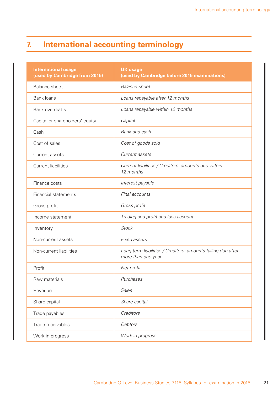# **7. International accounting terminology**

| <b>International usage</b><br>(used by Cambridge from 2015) | <b>UK usage</b><br>(used by Cambridge before 2015 examinations)                    |
|-------------------------------------------------------------|------------------------------------------------------------------------------------|
| <b>Balance sheet</b>                                        | <b>Balance</b> sheet                                                               |
| Bank loans                                                  | Loans repayable after 12 months                                                    |
| <b>Bank overdrafts</b>                                      | Loans repayable within 12 months                                                   |
| Capital or shareholders' equity                             | Capital                                                                            |
| Cash                                                        | Bank and cash                                                                      |
| Cost of sales                                               | Cost of goods sold                                                                 |
| Current assets                                              | Current assets                                                                     |
| <b>Current liabilities</b>                                  | Current liabilities / Creditors: amounts due within<br>12 months                   |
| Finance costs                                               | Interest payable                                                                   |
| <b>Financial statements</b>                                 | Final accounts                                                                     |
| Gross profit                                                | Gross profit                                                                       |
| Income statement                                            | Trading and profit and loss account                                                |
| Inventory                                                   | <b>Stock</b>                                                                       |
| Non-current assets                                          | Fixed assets                                                                       |
| Non-current liabilities                                     | Long-term liabilities / Creditors: amounts falling due after<br>more than one year |
| Profit                                                      | Net profit                                                                         |
| Raw materials                                               | Purchases                                                                          |
| Revenue                                                     | Sales                                                                              |
| Share capital                                               | Share capital                                                                      |
| Trade payables                                              | Creditors                                                                          |
| Trade receivables                                           | Debtors                                                                            |
| Work in progress                                            | Work in progress                                                                   |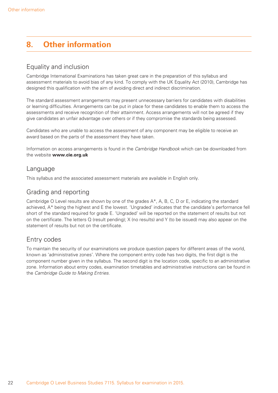# **8. Other information**

### Equality and inclusion

Cambridge International Examinations has taken great care in the preparation of this syllabus and assessment materials to avoid bias of any kind. To comply with the UK Equality Act (2010), Cambridge has designed this qualification with the aim of avoiding direct and indirect discrimination.

The standard assessment arrangements may present unnecessary barriers for candidates with disabilities or learning difficulties. Arrangements can be put in place for these candidates to enable them to access the assessments and receive recognition of their attainment. Access arrangements will not be agreed if they give candidates an unfair advantage over others or if they compromise the standards being assessed.

Candidates who are unable to access the assessment of any component may be eligible to receive an award based on the parts of the assessment they have taken.

Information on access arrangements is found in the *Cambridge Handbook* which can be downloaded from the website **www.cie.org.uk**

#### Language

This syllabus and the associated assessment materials are available in English only.

#### Grading and reporting

Cambridge O Level results are shown by one of the grades A\*, A, B, C, D or E, indicating the standard achieved, A\* being the highest and E the lowest. 'Ungraded' indicates that the candidate's performance fell short of the standard required for grade E. 'Ungraded' will be reported on the statement of results but not on the certificate. The letters Q (result pending); X (no results) and Y (to be issued) may also appear on the statement of results but not on the certificate.

#### Entry codes

To maintain the security of our examinations we produce question papers for different areas of the world. known as 'administrative zones'. Where the component entry code has two digits, the first digit is the component number given in the syllabus. The second digit is the location code, specific to an administrative zone. Information about entry codes, examination timetables and administrative instructions can be found in the *Cambridge Guide to Making Entries*.